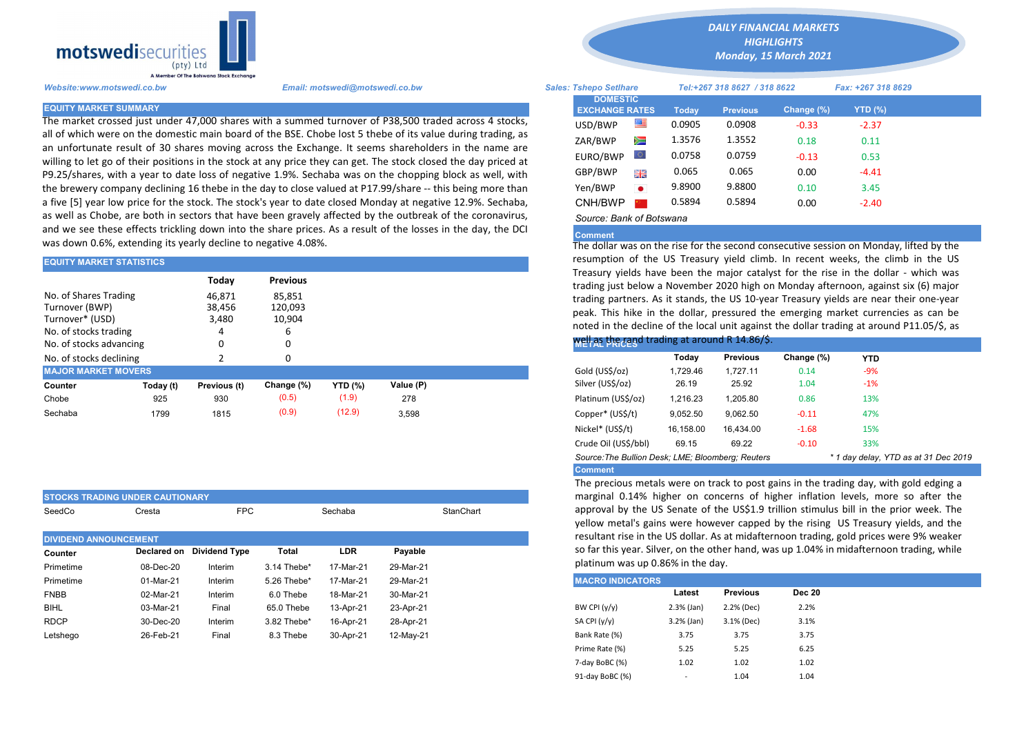

The market crossed just under 47,000 shares with a summed turnover of P38,500 traded across 4 stocks, all of which were on the domestic main board of the BSE. Chobe lost 5 thebe of its value during trading, as an unfortunate result of 30 shares moving across the Exchange. It seems shareholders in the name are willing to let go of their positions in the stock at any price they can get. The stock closed the day priced at P9.25/shares, with a year to date loss of negative 1.9%. Sechaba was on the chopping block as well, with the brewery company declining 16 thebe in the day to close valued at P17.99/share -- this being more than a five [5] year low price for the stock. The stock's year to date closed Monday at negative 12.9%. Sechaba, as well as Chobe, are both in sectors that have been gravely affected by the outbreak of the coronavirus, and we see these effects trickling down into the share prices. As a result of the losses in the day, the DCI was down 0.6%, extending its yearly decline to negative 4.08%.

| <b>EQUITY MARKET STATISTICS</b>          |           |                  |                   | resumption of the US Treasury yield climb. In recent weeks, the clim<br>Treasury yields have been the major catalyst for the rise in the dollar |           |                                                                                                                                                      |          |                 |            |  |
|------------------------------------------|-----------|------------------|-------------------|-------------------------------------------------------------------------------------------------------------------------------------------------|-----------|------------------------------------------------------------------------------------------------------------------------------------------------------|----------|-----------------|------------|--|
|                                          |           | Today            | <b>Previous</b>   |                                                                                                                                                 |           | trading just below a November 2020 high on Monday afternoon, against                                                                                 |          |                 |            |  |
| No. of Shares Trading<br>Turnover (BWP)  |           | 46,871<br>38,456 | 85,851<br>120,093 |                                                                                                                                                 |           | trading partners. As it stands, the US 10-year Treasury yields are near the<br>peak. This hike in the dollar, pressured the emerging market currenci |          |                 |            |  |
| Turnover* (USD)<br>No. of stocks trading |           | 3,480            | 10,904<br>ь       |                                                                                                                                                 |           | noted in the decline of the local unit against the dollar trading at around                                                                          |          |                 |            |  |
| No. of stocks advancing                  |           |                  | 0                 |                                                                                                                                                 |           | Well as the rand trading at around R 14.86/\$.                                                                                                       |          |                 |            |  |
| No. of stocks declining                  |           |                  | 0                 |                                                                                                                                                 |           |                                                                                                                                                      | Todav    | <b>Previous</b> | Change (%) |  |
| <b>MAJOR MARKET MOVERS</b>               |           |                  |                   |                                                                                                                                                 |           | Gold (US\$/oz)                                                                                                                                       | 1.729.46 | 1.727.11        | 0.14       |  |
| Counter                                  | Today (t) | Previous (t)     | Change (%)        | <b>YTD (%)</b>                                                                                                                                  | Value (P) | Silver (US\$/oz)                                                                                                                                     | 26.19    | 25.92           | 1.04       |  |
| Chobe                                    | 925       | 930              | (0.5)             | (1.9)                                                                                                                                           | 278       | Platinum (US\$/oz)                                                                                                                                   | 1.216.23 | 1.205.80        | 0.86       |  |
| Sechaba                                  | 1799      | 1815             | (0.9)             | (12.9)                                                                                                                                          | 3,598     | Copper* (US\$/t)                                                                                                                                     | 9,052.50 | 9,062.50        | $-0.11$    |  |
|                                          |           |                  |                   |                                                                                                                                                 |           |                                                                                                                                                      |          |                 |            |  |

|                              | <b>STOCKS TRADING UNDER CAUTIONARY</b> |                      |             | marginal 0.14% higher on concerns of higher inflat |           |           |                         |                                                                                                                |                 |  |
|------------------------------|----------------------------------------|----------------------|-------------|----------------------------------------------------|-----------|-----------|-------------------------|----------------------------------------------------------------------------------------------------------------|-----------------|--|
| SeedCo                       | Cresta                                 | <b>FPC</b>           |             | Sechaba                                            |           | StanChart |                         | approval by the US Senate of the US\$1.9 trillion stim<br>yellow metal's gains were however capped by the risi |                 |  |
| <b>DIVIDEND ANNOUNCEMENT</b> |                                        |                      |             |                                                    |           |           |                         | resultant rise in the US dollar. As at midafternoon tradi                                                      |                 |  |
| Counter                      | Declared on                            | <b>Dividend Type</b> | Total       | <b>LDR</b>                                         | Payable   |           |                         | so far this year. Silver, on the other hand, was up 1.049                                                      |                 |  |
| Primetime                    | 08-Dec-20                              | Interim              | 3.14 Thebe* | 17-Mar-21                                          | 29-Mar-21 |           |                         | platinum was up 0.86% in the day.                                                                              |                 |  |
| Primetime                    | 01-Mar-21                              | Interim              | 5.26 Thebe* | 17-Mar-21                                          | 29-Mar-21 |           | <b>MACRO INDICATORS</b> |                                                                                                                |                 |  |
| <b>FNBB</b>                  | 02-Mar-21                              | Interim              | 6.0 Thebe   | 18-Mar-21                                          | 30-Mar-21 |           |                         | Latest                                                                                                         | <b>Previous</b> |  |
| <b>BIHL</b>                  | 03-Mar-21                              | Final                | 65.0 Thebe  | 13-Apr-21                                          | 23-Apr-21 |           | BW CPI $(y/y)$          | $2.3%$ (Jan)                                                                                                   | 2.2% (Dec)      |  |
| <b>RDCP</b>                  | 30-Dec-20                              | Interim              | 3.82 Thebe* | 16-Apr-21                                          | 28-Apr-21 |           | SA CPI (y/y)            | $3.2%$ (Jan)                                                                                                   | 3.1% (Dec)      |  |
| Letshego                     | 26-Feb-21                              | Final                | 8.3 Thebe   | 30-Apr-21                                          | 12-May-21 |           | Bank Rate (%)           | 3.75                                                                                                           | 3.75            |  |

*DAILY FINANCIAL MARKETS*

*HIGHLIGHTS*

*Monday, 15 March 2021* 

| Website:www.motswedi.co.bw   | Email: motswedi@motswedi.co.bw                                                                                                                                                                                      | <b>Sales: Tshepo Setihare</b>            |           | Tel:+267 318 8627 / 318 8622 |                 | Fax: +267 318 8629 |                |  |
|------------------------------|---------------------------------------------------------------------------------------------------------------------------------------------------------------------------------------------------------------------|------------------------------------------|-----------|------------------------------|-----------------|--------------------|----------------|--|
| <b>EQUITY MARKET SUMMARY</b> |                                                                                                                                                                                                                     | <b>DOMESTIC</b><br><b>EXCHANGE RATES</b> |           | Todav                        | <b>Previous</b> | Change $(\%)$      | <b>YTD (%)</b> |  |
|                              | The market crossed just under 47,000 shares with a summed turnover of P38,500 traded across 4 stocks,                                                                                                               | USD/BWP                                  | ≝         | 0.0905                       | 0.0908          | $-0.33$            | $-2.37$        |  |
|                              | all of which were on the domestic main board of the BSE. Chobe lost 5 thebe of its value during trading, as<br>an unfortunate result of 30 shares moving across the Exchange. It seems shareholders in the name are | ZAR/BWP                                  | Ň         | 1.3576                       | 1.3552          | 0.18               | 0.11           |  |
|                              | willing to let go of their positions in the stock at any price they can get. The stock closed the day priced at                                                                                                     | EURO/BWP                                 | LO I      | 0.0758                       | 0.0759          | $-0.13$            | 0.53           |  |
|                              | 99.25/shares, with a year to date loss of negative 1.9%. Sechaba was on the chopping block as well, with                                                                                                            | GBP/BWP                                  | 哥馬        | 0.065                        | 0.065           | 0.00               | $-4.41$        |  |
|                              | the brewery company declining 16 thebe in the day to close valued at P17.99/share -- this being more than                                                                                                           | Yen/BWP                                  | $\bullet$ | 9.8900                       | 9.8800          | 0.10               | 3.45           |  |
|                              | a five [5] year low price for the stock. The stock's year to date closed Monday at negative 12.9%. Sechaba,                                                                                                         | CNH/BWP                                  |           | 0.5894                       | 0.5894          | 0.00               | $-2.40$        |  |
|                              | as well as Chobe, are both in sectors that have been gravely affected by the outbreak of the coronavirus,                                                                                                           | Source: Bank of Botswana                 |           |                              |                 |                    |                |  |

## Comment

The dollar was on the rise for the second consecutive session on Monday, lifted by the resumption of the US Treasury yield climb. In recent weeks, the climb in the US Treasury yields have been the major catalyst for the rise in the dollar - which was trading just below a November 2020 high on Monday afternoon, against six (6) major trading partners. As it stands, the US 10-year Treasury yields are near their one-year peak. This hike in the dollar, pressured the emerging market currencies as can be noted in the decline of the local unit against the dollar trading at around P11.05/\$, as

## well as the rand trading at around R 14.86/\$.

|                                                   | Today     | <b>Previous</b> | Change (%) | <b>YTD</b>                           |  |
|---------------------------------------------------|-----------|-----------------|------------|--------------------------------------|--|
| Gold (US\$/oz)                                    | 1.729.46  | 1.727.11        | 0.14       | $-9%$                                |  |
| Silver (US\$/oz)                                  | 26.19     | 25.92           | 1.04       | $-1%$                                |  |
| Platinum (US\$/oz)                                | 1.216.23  | 1.205.80        | 0.86       | 13%                                  |  |
| Copper* (US\$/t)                                  | 9.052.50  | 9.062.50        | $-0.11$    | 47%                                  |  |
| Nickel* (US\$/t)                                  | 16.158.00 | 16.434.00       | $-1.68$    | 15%                                  |  |
| Crude Oil (US\$/bbl)                              | 69.15     | 69.22           | $-0.10$    | 33%                                  |  |
| Source: The Bullion Desk: LME: Bloomberg: Reuters |           |                 |            | * 1 day delay, YTD as at 31 Dec 2019 |  |
| <b>Comment</b>                                    |           |                 |            |                                      |  |

The precious metals were on track to post gains in the trading day, with gold edging a marginal 0.14% higher on concerns of higher inflation levels, more so after the approval by the US Senate of the US\$1.9 trillion stimulus bill in the prior week. The yellow metal's gains were however capped by the rising US Treasury yields, and the resultant rise in the US dollar. As at midafternoon trading, gold prices were 9% weaker so far this year. Silver, on the other hand, was up 1.04% in midafternoon trading, while platinum was up 0.86% in the day.

| <b>MACRO INDICATORS</b> |                          |                 |               |  |  |  |  |  |  |  |
|-------------------------|--------------------------|-----------------|---------------|--|--|--|--|--|--|--|
|                         | Latest                   | <b>Previous</b> | <b>Dec 20</b> |  |  |  |  |  |  |  |
| BW CPI $(y/y)$          | $2.3%$ (Jan)             | 2.2% (Dec)      | 2.2%          |  |  |  |  |  |  |  |
| SA CPI (y/y)            | $3.2%$ (Jan)             | 3.1% (Dec)      | 3.1%          |  |  |  |  |  |  |  |
| Bank Rate (%)           | 3.75                     | 3.75            | 3.75          |  |  |  |  |  |  |  |
| Prime Rate (%)          | 5.25                     | 5.25            | 6.25          |  |  |  |  |  |  |  |
| 7-day BoBC (%)          | 1.02                     | 1.02            | 1.02          |  |  |  |  |  |  |  |
| 91-day BoBC (%)         | $\overline{\phantom{a}}$ | 1.04            | 1.04          |  |  |  |  |  |  |  |